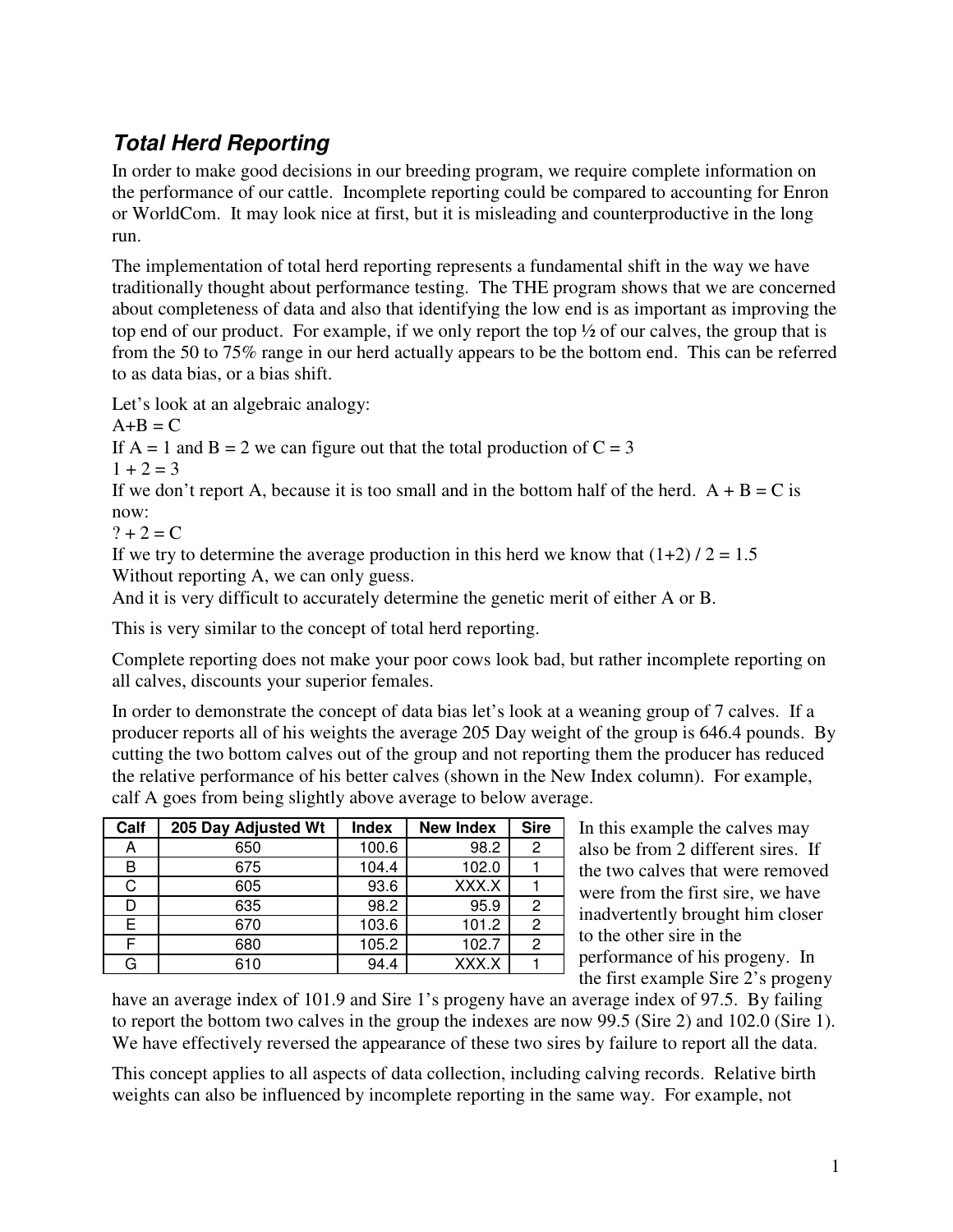# *Total Herd Reporting*

In order to make good decisions in our breeding program, we require complete information on the performance of our cattle. Incomplete reporting could be compared to accounting for Enron or WorldCom. It may look nice at first, but it is misleading and counterproductive in the long run.

The implementation of total herd reporting represents a fundamental shift in the way we have traditionally thought about performance testing. The THE program shows that we are concerned about completeness of data and also that identifying the low end is as important as improving the top end of our product. For example, if we only report the top ½ of our calves, the group that is from the 50 to 75% range in our herd actually appears to be the bottom end. This can be referred to as data bias, or a bias shift.

Let's look at an algebraic analogy:

 $A+B=C$ 

If  $A = 1$  and  $B = 2$  we can figure out that the total production of  $C = 3$ 

 $1 + 2 = 3$ 

If we don't report A, because it is too small and in the bottom half of the herd.  $A + B = C$  is now:

 $? + 2 = C$ 

If we try to determine the average production in this herd we know that  $(1+2)/2 = 1.5$ Without reporting A, we can only guess.

And it is very difficult to accurately determine the genetic merit of either A or B.

This is very similar to the concept of total herd reporting.

Complete reporting does not make your poor cows look bad, but rather incomplete reporting on all calves, discounts your superior females.

In order to demonstrate the concept of data bias let's look at a weaning group of 7 calves. If a producer reports all of his weights the average 205 Day weight of the group is 646.4 pounds. By cutting the two bottom calves out of the group and not reporting them the producer has reduced the relative performance of his better calves (shown in the New Index column). For example, calf A goes from being slightly above average to below average.

| Calf | 205 Day Adjusted Wt | <b>Index</b> | <b>New Index</b> | <b>Sire</b> |
|------|---------------------|--------------|------------------|-------------|
| А    | 650                 | 100.6        | 98.2             | 2           |
| B    | 675                 | 104.4        | 102.0            |             |
| С    | 605                 | 93.6         | XXX.X            |             |
| D    | 635                 | 98.2         | 95.9             | 2           |
| E    | 670                 | 103.6        | 101.2            | 2           |
| F    | 680                 | 105.2        | 102.7            | 2           |
| G    | 610                 | 94.4         | XXX.X            |             |

In this example the calves may also be from 2 different sires. If the two calves that were removed were from the first sire, we have inadvertently brought him closer to the other sire in the performance of his progeny. In the first example Sire 2's progeny

have an average index of 101.9 and Sire 1's progeny have an average index of 97.5. By failing to report the bottom two calves in the group the indexes are now 99.5 (Sire 2) and 102.0 (Sire 1). We have effectively reversed the appearance of these two sires by failure to report all the data.

This concept applies to all aspects of data collection, including calving records. Relative birth weights can also be influenced by incomplete reporting in the same way. For example, not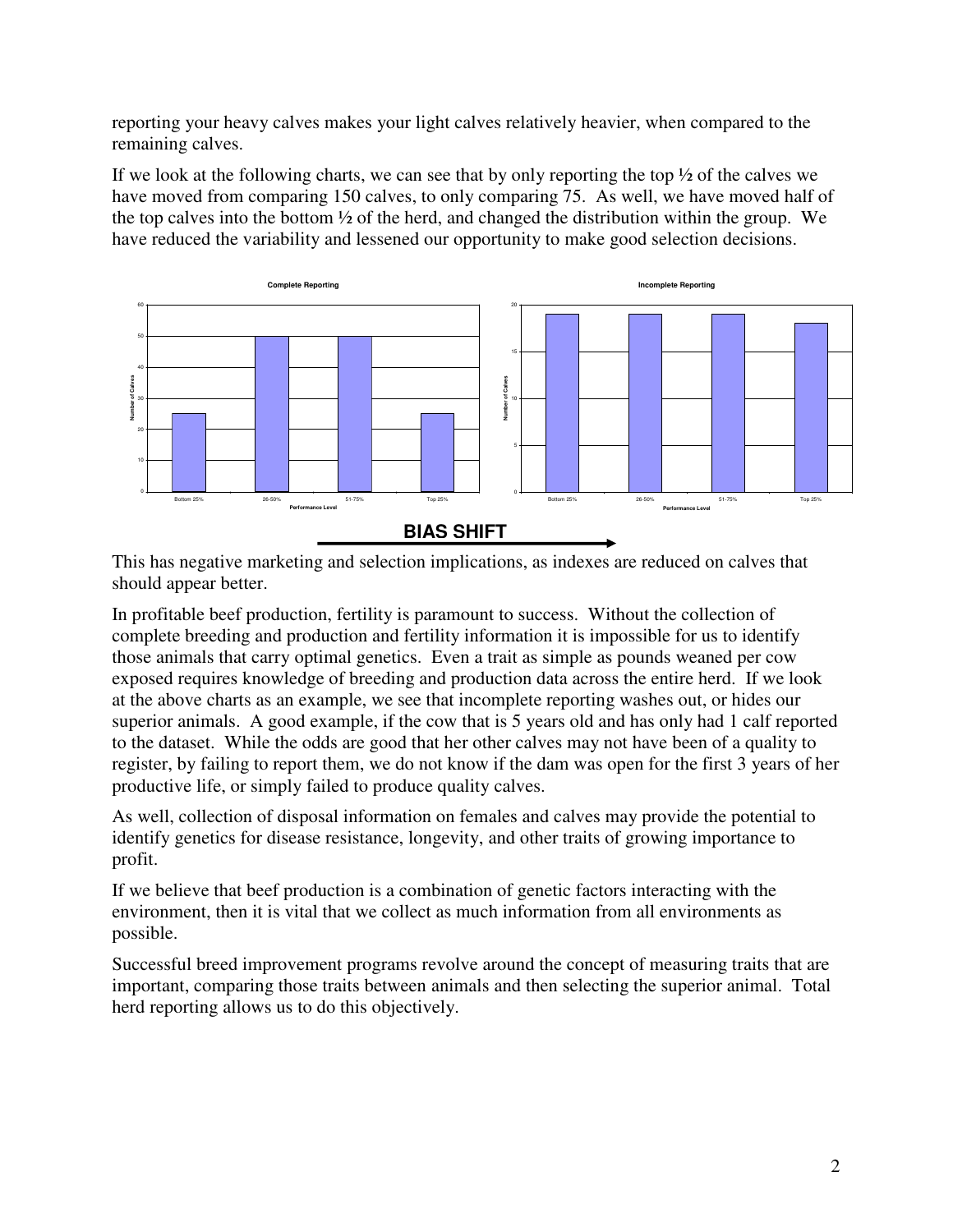reporting your heavy calves makes your light calves relatively heavier, when compared to the remaining calves.

If we look at the following charts, we can see that by only reporting the top  $\frac{1}{2}$  of the calves we have moved from comparing 150 calves, to only comparing 75. As well, we have moved half of the top calves into the bottom ½ of the herd, and changed the distribution within the group. We have reduced the variability and lessened our opportunity to make good selection decisions.



This has negative marketing and selection implications, as indexes are reduced on calves that should appear better.

In profitable beef production, fertility is paramount to success. Without the collection of complete breeding and production and fertility information it is impossible for us to identify those animals that carry optimal genetics. Even a trait as simple as pounds weaned per cow exposed requires knowledge of breeding and production data across the entire herd. If we look at the above charts as an example, we see that incomplete reporting washes out, or hides our superior animals. A good example, if the cow that is 5 years old and has only had 1 calf reported to the dataset. While the odds are good that her other calves may not have been of a quality to register, by failing to report them, we do not know if the dam was open for the first 3 years of her productive life, or simply failed to produce quality calves.

As well, collection of disposal information on females and calves may provide the potential to identify genetics for disease resistance, longevity, and other traits of growing importance to profit.

If we believe that beef production is a combination of genetic factors interacting with the environment, then it is vital that we collect as much information from all environments as possible.

Successful breed improvement programs revolve around the concept of measuring traits that are important, comparing those traits between animals and then selecting the superior animal. Total herd reporting allows us to do this objectively.